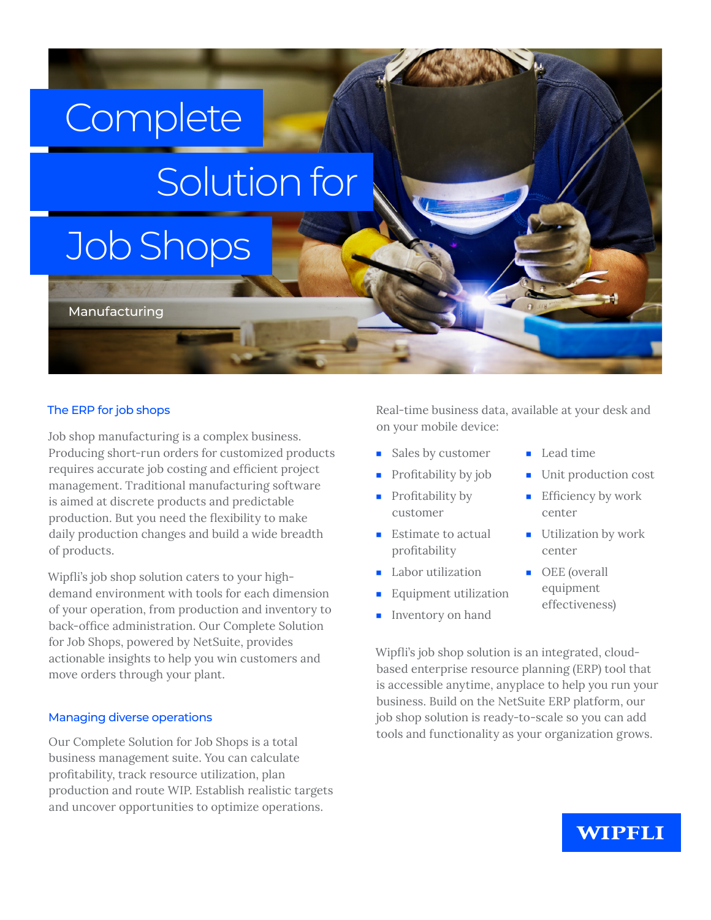## **Complete**

# Solution for

### Job Shops

Manufacturing

#### The ERP for job shops

Job shop manufacturing is a complex business. Producing short-run orders for customized products requires accurate job costing and efficient project management. Traditional manufacturing software is aimed at discrete products and predictable production. But you need the flexibility to make daily production changes and build a wide breadth of products.

Wipfli's job shop solution caters to your highdemand environment with tools for each dimension of your operation, from production and inventory to back-office administration. Our Complete Solution for Job Shops, powered by NetSuite, provides actionable insights to help you win customers and move orders through your plant.

#### Managing diverse operations

Our Complete Solution for Job Shops is a total business management suite. You can calculate profitability, track resource utilization, plan production and route WIP. Establish realistic targets and uncover opportunities to optimize operations.

Real-time business data, available at your desk and on your mobile device:

- Sales by customer
- Profitability by job
- Profitability by customer
- Estimate to actual profitability
- Labor utilization
- Equipment utilization
- Inventory on hand
- Lead time
- Unit production cost
- Efficiency by work center
- Utilization by work center
- OEE (overall equipment effectiveness)

Wipfli's job shop solution is an integrated, cloudbased enterprise resource planning (ERP) tool that is accessible anytime, anyplace to help you run your business. Build on the NetSuite ERP platform, our job shop solution is ready-to-scale so you can add tools and functionality as your organization grows.

#### **WIPFLI**